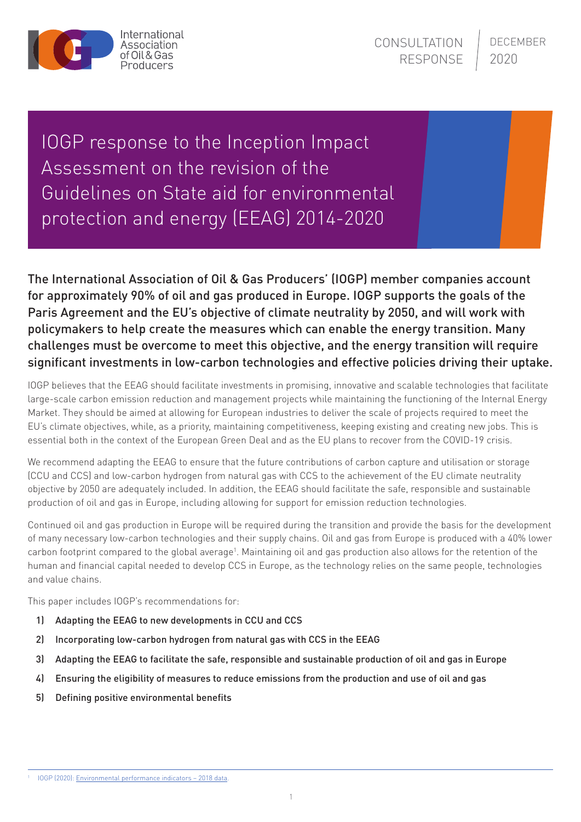

IOGP response to the Inception Impact Assessment on the revision of the Guidelines on State aid for environmental protection and energy (EEAG) 2014-2020

The International Association of Oil & Gas Producers' (IOGP) member companies account for approximately 90% of oil and gas produced in Europe. IOGP supports the goals of the Paris Agreement and the EU's objective of climate neutrality by 2050, and will work with policymakers to help create the measures which can enable the energy transition. Many challenges must be overcome to meet this objective, and the energy transition will require significant investments in low-carbon technologies and effective policies driving their uptake.

IOGP believes that the EEAG should facilitate investments in promising, innovative and scalable technologies that facilitate large-scale carbon emission reduction and management projects while maintaining the functioning of the Internal Energy Market. They should be aimed at allowing for European industries to deliver the scale of projects required to meet the EU's climate objectives, while, as a priority, maintaining competitiveness, keeping existing and creating new jobs. This is essential both in the context of the European Green Deal and as the EU plans to recover from the COVID-19 crisis.

We recommend adapting the EEAG to ensure that the future contributions of carbon capture and utilisation or storage (CCU and CCS) and low-carbon hydrogen from natural gas with CCS to the achievement of the EU climate neutrality objective by 2050 are adequately included. In addition, the EEAG should facilitate the safe, responsible and sustainable production of oil and gas in Europe, including allowing for support for emission reduction technologies.

Continued oil and gas production in Europe will be required during the transition and provide the basis for the development of many necessary low-carbon technologies and their supply chains. Oil and gas from Europe is produced with a 40% lower carbon footprint compared to the global average<sup>1</sup>. Maintaining oil and gas production also allows for the retention of the human and financial capital needed to develop CCS in Europe, as the technology relies on the same people, technologies and value chains.

This paper includes IOGP's recommendations for:

- 1) Adapting the EEAG to new developments in CCU and CCS
- 2) Incorporating low-carbon hydrogen from natural gas with CCS in the EEAG
- 3) Adapting the EEAG to facilitate the safe, responsible and sustainable production of oil and gas in Europe
- 4) Ensuring the eligibility of measures to reduce emissions from the production and use of oil and gas
- 5) Defining positive environmental benefits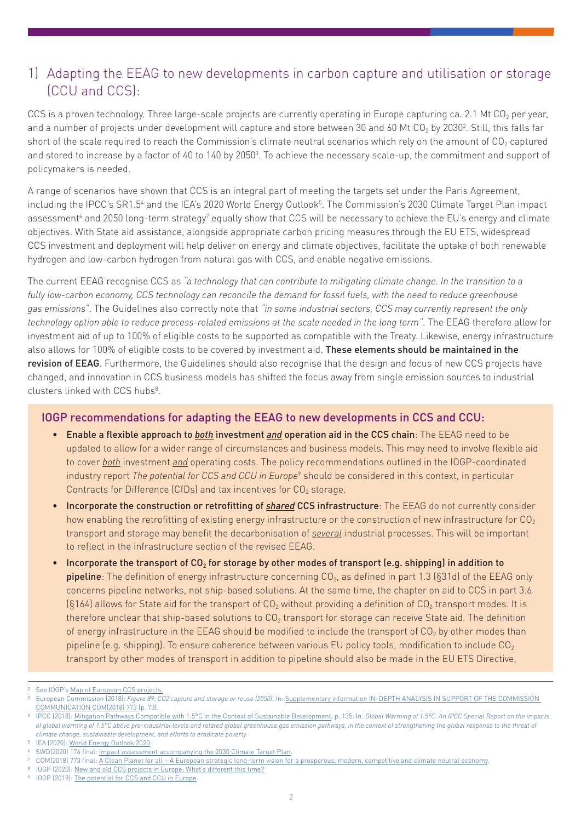### 1) Adapting the EEAG to new developments in carbon capture and utilisation or storage (CCU and CCS):

CCS is a proven technology. Three large-scale projects are currently operating in Europe capturing ca. 2.1 Mt CO<sub>2</sub> per year, and a number of projects under development will capture and store between 30 and 60 Mt CO $_2$  by 2030<sup>2</sup>. Still, this falls far short of the scale required to reach the Commission's climate neutral scenarios which rely on the amount of  $CO<sub>2</sub>$  captured and stored to increase by a factor of 40 to 140 by 2050 $^3$ . To achieve the necessary scale-up, the commitment and support of policymakers is needed.

A range of scenarios have shown that CCS is an integral part of meeting the targets set under the Paris Agreement, including the IPCC's SR1.5<sup>4</sup> and the IEA's 2020 World Energy Outlook<sup>5</sup>. The Commission's 2030 Climate Target Plan impact assessment<sup>6</sup> and 2050 long-term strategy<sup>7</sup> equally show that CCS will be necessary to achieve the EU's energy and climate objectives. With State aid assistance, alongside appropriate carbon pricing measures through the EU ETS, widespread CCS investment and deployment will help deliver on energy and climate objectives, facilitate the uptake of both renewable hydrogen and low-carbon hydrogen from natural gas with CCS, and enable negative emissions.

The current EEAG recognise CCS as *"a technology that can contribute to mitigating climate change. In the transition to a fully low-carbon economy, CCS technology can reconcile the demand for fossil fuels, with the need to reduce greenhouse gas emissions"*. The Guidelines also correctly note that *"in some industrial sectors, CCS may currently represent the only technology option able to reduce process-related emissions at the scale needed in the long term"*. The EEAG therefore allow for investment aid of up to 100% of eligible costs to be supported as compatible with the Treaty. Likewise, energy infrastructure also allows for 100% of eligible costs to be covered by investment aid. These elements should be maintained in the revision of EEAG. Furthermore, the Guidelines should also recognise that the design and focus of new CCS projects have changed, and innovation in CCS business models has shifted the focus away from single emission sources to industrial clusters linked with CCS hubs<sup>8</sup>.

#### IOGP recommendations for adapting the EEAG to new developments in CCS and CCU:

- Enable a flexible approach to *both* investment *and* operation aid in the CCS chain: The EEAG need to be updated to allow for a wider range of circumstances and business models. This may need to involve flexible aid to cover *both* investment *and* operating costs. The policy recommendations outlined in the IOGP-coordinated industry report *The potential for CCS and CCU in Europe*<sup>9</sup> should be considered in this context, in particular Contracts for Difference (CfDs) and tax incentives for  $CO<sub>2</sub>$  storage.
- Incorporate the construction or retrofitting of *shared* CCS infrastructure: The EEAG do not currently consider how enabling the retrofitting of existing energy infrastructure or the construction of new infrastructure for  $CO<sub>2</sub>$ transport and storage may benefit the decarbonisation of *several* industrial processes. This will be important to reflect in the infrastructure section of the revised EEAG.
- Incorporate the transport of CO<sub>2</sub> for storage by other modes of transport (e.g. shipping) in addition to pipeline: The definition of energy infrastructure concerning  $CO<sub>2</sub>$ , as defined in part 1.3 (§31d) of the EEAG only concerns pipeline networks, not ship-based solutions. At the same time, the chapter on aid to CCS in part 3.6  $(8164)$  allows for State aid for the transport of CO<sub>2</sub> without providing a definition of CO<sub>2</sub> transport modes. It is therefore unclear that ship-based solutions to  $CO<sub>2</sub>$  transport for storage can receive State aid. The definition of energy infrastructure in the EEAG should be modified to include the transport of  $CO<sub>2</sub>$  by other modes than pipeline (e.g. shipping). To ensure coherence between various EU policy tools, modification to include  $CO<sub>2</sub>$ transport by other modes of transport in addition to pipeline should also be made in the EU ETS Directive,

8 IOGP (2020): [New and old CCS projects in Europe: What's different this time?](https://www.oilandgaseurope.org/wp-content/uploads/2020/04/New-and-old-CCS-projects-in-Europe-paper.pdf)

See IOGP's [Map of European CCS projects.](https://www.oilandgaseurope.org/wp-content/uploads/2020/06/Map-of-EU-CCS-Projects.pdf)

<sup>3</sup> European Commission (2018): *Figure 89: CO2 capture and storage or reuse (2050)*. In: [Supplementary information IN-DEPTH ANALYSIS IN SUPPORT OF THE COMMISSION](https://ec.europa.eu/clima/sites/clima/files/docs/pages/com_2018_733_analysis_in_support_en_0.pdf)  [COMMUNICATION COM\(2018\) 773](https://ec.europa.eu/clima/sites/clima/files/docs/pages/com_2018_733_analysis_in_support_en_0.pdf) (p. 73).

<sup>4</sup> IPCC (2018): [Mitigation Pathways Compatible with 1.5°C in the Context of Sustainable Development](https://www.ipcc.ch/site/assets/uploads/sites/2/2019/02/SR15_Chapter2_Low_Res.pdf), p. 135. In: *Global Warming of 1.5°C. An IPCC Special Report on the impacts of global warming of 1.5°C above pre-industrial levels and related global greenhouse gas emission pathways, in the context of strengthening the global response to the threat of climate change, sustainable development, and efforts to eradicate poverty.*

IEA (2020): [World Energy Outlook 2020.](https://www.iea.org/reports/world-energy-outlook-2020)

SWD(2020) 176 final: [Impact assessment accompanying the 2030 Climate Target Plan.](https://ec.europa.eu/clima/sites/clima/files/eu-climate-action/docs/impact_en.pdf)

<sup>7</sup> COM(2018) 773 final: [A Clean Planet for all – A European strategic long-term vision for a prosperous, modern, competitive and climate neutral economy.](https://ec.europa.eu/clima/sites/clima/files/docs/pages/com_2018_733_en.pdf)

<sup>10</sup>GP (2019): [The potential for CCS and CCU in Europe](https://ec.europa.eu/info/sites/info/files/iogp_-_report_-_ccs_ccu.pdf).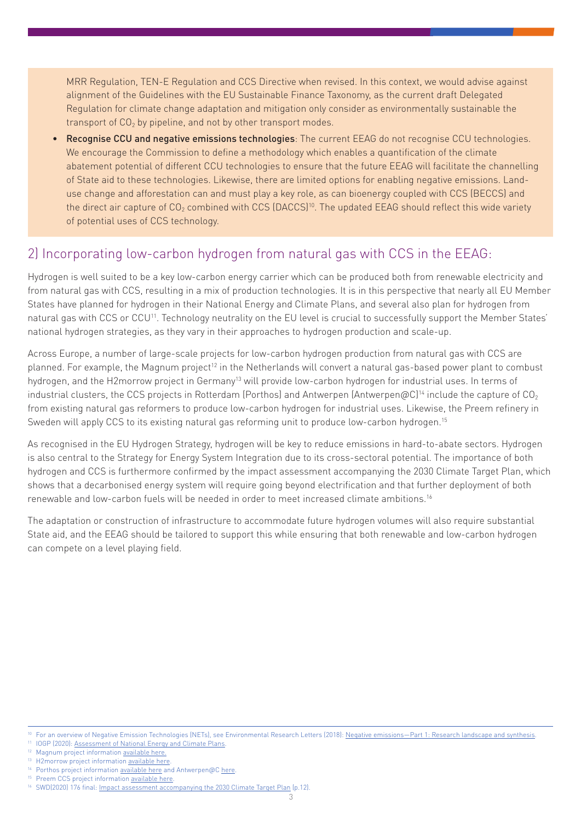MRR Regulation, TEN-E Regulation and CCS Directive when revised. In this context, we would advise against alignment of the Guidelines with the EU Sustainable Finance Taxonomy, as the current draft Delegated Regulation for climate change adaptation and mitigation only consider as environmentally sustainable the transport of  $CO<sub>2</sub>$  by pipeline, and not by other transport modes.

• Recognise CCU and negative emissions technologies: The current EEAG do not recognise CCU technologies. We encourage the Commission to define a methodology which enables a quantification of the climate abatement potential of different CCU technologies to ensure that the future EEAG will facilitate the channelling of State aid to these technologies. Likewise, there are limited options for enabling negative emissions. Landuse change and afforestation can and must play a key role, as can bioenergy coupled with CCS (BECCS) and the direct air capture of CO<sub>2</sub> combined with CCS (DACCS)<sup>10</sup>. The updated EEAG should reflect this wide variety of potential uses of CCS technology.

### 2) Incorporating low-carbon hydrogen from natural gas with CCS in the EEAG:

Hydrogen is well suited to be a key low-carbon energy carrier which can be produced both from renewable electricity and from natural gas with CCS, resulting in a mix of production technologies. It is in this perspective that nearly all EU Member States have planned for hydrogen in their National Energy and Climate Plans, and several also plan for hydrogen from natural gas with CCS or CCU11. Technology neutrality on the EU level is crucial to successfully support the Member States' national hydrogen strategies, as they vary in their approaches to hydrogen production and scale-up.

Across Europe, a number of large-scale projects for low-carbon hydrogen production from natural gas with CCS are planned. For example, the Magnum project<sup>12</sup> in the Netherlands will convert a natural gas-based power plant to combust hydrogen, and the H2morrow project in Germany<sup>13</sup> will provide low-carbon hydrogen for industrial uses. In terms of industrial clusters, the CCS projects in Rotterdam (Porthos) and Antwerpen (Antwerpen@C)<sup>14</sup> include the capture of CO<sub>2</sub> from existing natural gas reformers to produce low-carbon hydrogen for industrial uses. Likewise, the Preem refinery in Sweden will apply CCS to its existing natural gas reforming unit to produce low-carbon hydrogen.<sup>15</sup>

As recognised in the EU Hydrogen Strategy, hydrogen will be key to reduce emissions in hard-to-abate sectors. Hydrogen is also central to the Strategy for Energy System Integration due to its cross-sectoral potential. The importance of both hydrogen and CCS is furthermore confirmed by the impact assessment accompanying the 2030 Climate Target Plan, which shows that a decarbonised energy system will require going beyond electrification and that further deployment of both renewable and low-carbon fuels will be needed in order to meet increased climate ambitions.16

The adaptation or construction of infrastructure to accommodate future hydrogen volumes will also require substantial State aid, and the EEAG should be tailored to support this while ensuring that both renewable and low-carbon hydrogen can compete on a level playing field.

<sup>10</sup> For an overview of Negative Emission Technologies (NETs), see Environmental Research Letters (2018): [Negative emissions—Part 1: Research landscape and synthesis](https://iopscience.iop.org/article/10.1088/1748-9326/aabf9b#erlaabf9bs5).

<sup>11</sup> IOGP (2020): [Assessment of National Energy and Climate Plans](http://www.oilandgaseurope.org/wp-content/uploads/2020/04/NECPs-Factsheet-v2.pdf).

<sup>12</sup> Magnum project information [available here.](https://www.nedo.go.jp/content/100895065.pdf)

<sup>&</sup>lt;sup>13</sup> H2morrow project information [available here](https://oge.net/en/us/projects/h2morrow)

<sup>&</sup>lt;sup>14</sup> Porthos project information <u>available here</u> and Antwerpen@C [here.](https://www.portofantwerp.com/en/climate-neutral-port)<br><sup>15</sup> Pream CCS are isot information available here. Preem CCS project information [available here](https://www.preem.com/in-english/press/).

<sup>16</sup> SWD(2020) 176 final: [Impact assessment accompanying the 2030 Climate Target Plan](https://ec.europa.eu/clima/sites/clima/files/eu-climate-action/docs/impact_en.pdf) (p.12).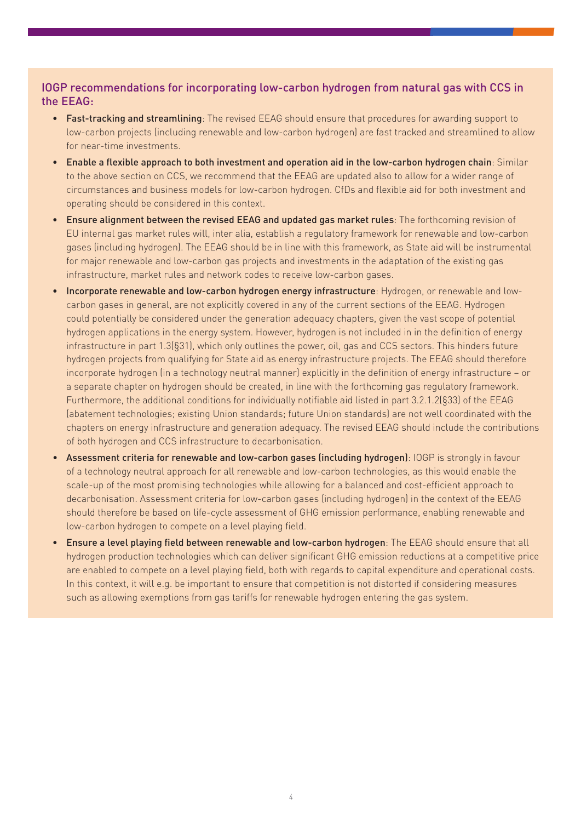### IOGP recommendations for incorporating low-carbon hydrogen from natural gas with CCS in the EEAG:

- Fast-tracking and streamlining: The revised EEAG should ensure that procedures for awarding support to low-carbon projects (including renewable and low-carbon hydrogen) are fast tracked and streamlined to allow for near-time investments.
- Enable a flexible approach to both investment and operation aid in the low-carbon hydrogen chain: Similar to the above section on CCS, we recommend that the EEAG are updated also to allow for a wider range of circumstances and business models for low-carbon hydrogen. CfDs and flexible aid for both investment and operating should be considered in this context.
- Ensure alignment between the revised EEAG and updated gas market rules: The forthcoming revision of EU internal gas market rules will, inter alia, establish a regulatory framework for renewable and low-carbon gases (including hydrogen). The EEAG should be in line with this framework, as State aid will be instrumental for major renewable and low-carbon gas projects and investments in the adaptation of the existing gas infrastructure, market rules and network codes to receive low-carbon gases.
- Incorporate renewable and low-carbon hydrogen energy infrastructure: Hydrogen, or renewable and lowcarbon gases in general, are not explicitly covered in any of the current sections of the EEAG. Hydrogen could potentially be considered under the generation adequacy chapters, given the vast scope of potential hydrogen applications in the energy system. However, hydrogen is not included in in the definition of energy infrastructure in part 1.3(§31), which only outlines the power, oil, gas and CCS sectors. This hinders future hydrogen projects from qualifying for State aid as energy infrastructure projects. The EEAG should therefore incorporate hydrogen (in a technology neutral manner) explicitly in the definition of energy infrastructure – or a separate chapter on hydrogen should be created, in line with the forthcoming gas regulatory framework. Furthermore, the additional conditions for individually notifiable aid listed in part 3.2.1.2(§33) of the EEAG (abatement technologies; existing Union standards; future Union standards) are not well coordinated with the chapters on energy infrastructure and generation adequacy. The revised EEAG should include the contributions of both hydrogen and CCS infrastructure to decarbonisation.
- Assessment criteria for renewable and low-carbon gases (including hydrogen): IOGP is strongly in favour of a technology neutral approach for all renewable and low-carbon technologies, as this would enable the scale-up of the most promising technologies while allowing for a balanced and cost-efficient approach to decarbonisation. Assessment criteria for low-carbon gases (including hydrogen) in the context of the EEAG should therefore be based on life-cycle assessment of GHG emission performance, enabling renewable and low-carbon hydrogen to compete on a level playing field.
- **Ensure a level playing field between renewable and low-carbon hydrogen**: The EEAG should ensure that all hydrogen production technologies which can deliver significant GHG emission reductions at a competitive price are enabled to compete on a level playing field, both with regards to capital expenditure and operational costs. In this context, it will e.g. be important to ensure that competition is not distorted if considering measures such as allowing exemptions from gas tariffs for renewable hydrogen entering the gas system.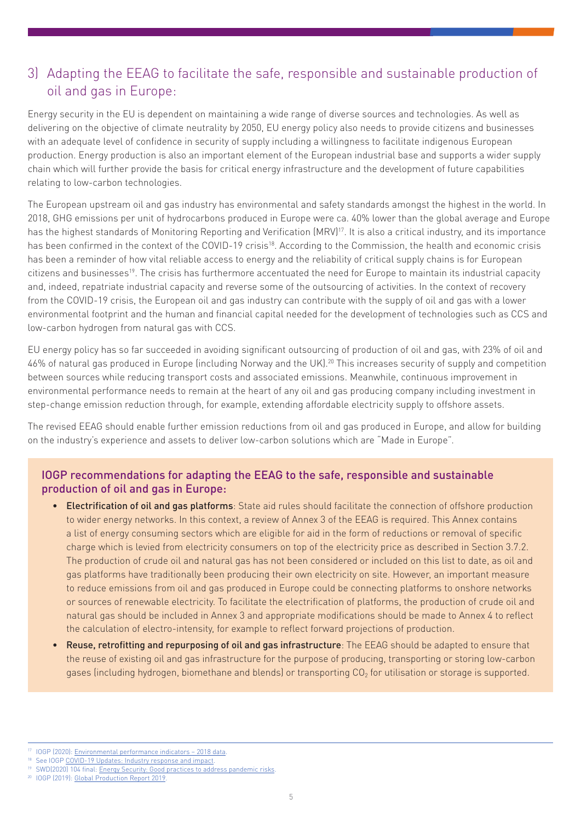## 3) Adapting the EEAG to facilitate the safe, responsible and sustainable production of oil and gas in Europe:

Energy security in the EU is dependent on maintaining a wide range of diverse sources and technologies. As well as delivering on the objective of climate neutrality by 2050, EU energy policy also needs to provide citizens and businesses with an adequate level of confidence in security of supply including a willingness to facilitate indigenous European production. Energy production is also an important element of the European industrial base and supports a wider supply chain which will further provide the basis for critical energy infrastructure and the development of future capabilities relating to low-carbon technologies.

The European upstream oil and gas industry has environmental and safety standards amongst the highest in the world. In 2018, GHG emissions per unit of hydrocarbons produced in Europe were ca. 40% lower than the global average and Europe has the highest standards of Monitoring Reporting and Verification (MRV)<sup>17</sup>. It is also a critical industry, and its importance has been confirmed in the context of the COVID-19 crisis<sup>18</sup>. According to the Commission, the health and economic crisis has been a reminder of how vital reliable access to energy and the reliability of critical supply chains is for European citizens and businesses19. The crisis has furthermore accentuated the need for Europe to maintain its industrial capacity and, indeed, repatriate industrial capacity and reverse some of the outsourcing of activities. In the context of recovery from the COVID-19 crisis, the European oil and gas industry can contribute with the supply of oil and gas with a lower environmental footprint and the human and financial capital needed for the development of technologies such as CCS and low-carbon hydrogen from natural gas with CCS.

EU energy policy has so far succeeded in avoiding significant outsourcing of production of oil and gas, with 23% of oil and 46% of natural gas produced in Europe (including Norway and the UK).20 This increases security of supply and competition between sources while reducing transport costs and associated emissions. Meanwhile, continuous improvement in environmental performance needs to remain at the heart of any oil and gas producing company including investment in step-change emission reduction through, for example, extending affordable electricity supply to offshore assets.

The revised EEAG should enable further emission reductions from oil and gas produced in Europe, and allow for building on the industry's experience and assets to deliver low-carbon solutions which are "Made in Europe".

#### IOGP recommendations for adapting the EEAG to the safe, responsible and sustainable production of oil and gas in Europe:

- Electrification of oil and gas platforms: State aid rules should facilitate the connection of offshore production to wider energy networks. In this context, a review of Annex 3 of the EEAG is required. This Annex contains a list of energy consuming sectors which are eligible for aid in the form of reductions or removal of specific charge which is levied from electricity consumers on top of the electricity price as described in Section 3.7.2. The production of crude oil and natural gas has not been considered or included on this list to date, as oil and gas platforms have traditionally been producing their own electricity on site. However, an important measure to reduce emissions from oil and gas produced in Europe could be connecting platforms to onshore networks or sources of renewable electricity. To facilitate the electrification of platforms, the production of crude oil and natural gas should be included in Annex 3 and appropriate modifications should be made to Annex 4 to reflect the calculation of electro-intensity, for example to reflect forward projections of production.
- Reuse, retrofitting and repurposing of oil and gas infrastructure: The EEAG should be adapted to ensure that the reuse of existing oil and gas infrastructure for the purpose of producing, transporting or storing low-carbon gases (including hydrogen, biomethane and blends) or transporting  $CO<sub>2</sub>$  for utilisation or storage is supported.

<sup>10</sup>GP (2020): [Environmental performance indicators – 2018 data](https://www.iogp.org/bookstore/product/iogp-report-2018ee-environmental-performance-indicators-2018-data-executive-summary/).

<sup>&</sup>lt;sup>18</sup> See IOGP [COVID-19 Updates: Industry response and impact.](https://www.oilandgaseurope.org/news/covid-19-updates-industry-response-and-impact/)

<sup>&</sup>lt;sup>19</sup> SWD(2020) 104 final: [Energy Security: Good practices to address pandemic risks](https://ec.europa.eu/energy/sites/ener/files/1_en_document_travail_service_part1_v3.pdf)

<sup>20</sup> IOGP (2019): [Global Production Report 2019.](https://www.iogp.org/bookstore/product/global-production-report-2019/)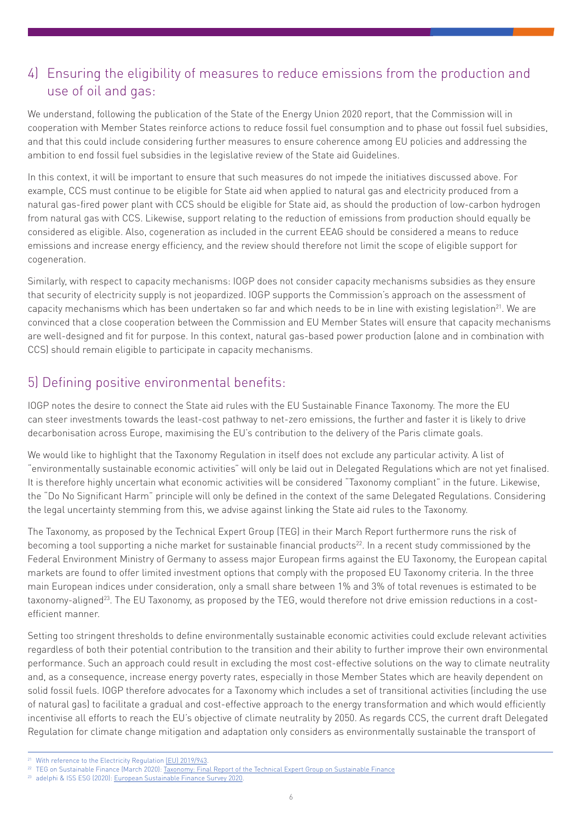## 4) Ensuring the eligibility of measures to reduce emissions from the production and use of oil and gas:

We understand, following the publication of the State of the Energy Union 2020 report, that the Commission will in cooperation with Member States reinforce actions to reduce fossil fuel consumption and to phase out fossil fuel subsidies, and that this could include considering further measures to ensure coherence among EU policies and addressing the ambition to end fossil fuel subsidies in the legislative review of the State aid Guidelines.

In this context, it will be important to ensure that such measures do not impede the initiatives discussed above. For example, CCS must continue to be eligible for State aid when applied to natural gas and electricity produced from a natural gas-fired power plant with CCS should be eligible for State aid, as should the production of low-carbon hydrogen from natural gas with CCS. Likewise, support relating to the reduction of emissions from production should equally be considered as eligible. Also, cogeneration as included in the current EEAG should be considered a means to reduce emissions and increase energy efficiency, and the review should therefore not limit the scope of eligible support for cogeneration.

Similarly, with respect to capacity mechanisms: IOGP does not consider capacity mechanisms subsidies as they ensure that security of electricity supply is not jeopardized. IOGP supports the Commission's approach on the assessment of capacity mechanisms which has been undertaken so far and which needs to be in line with existing legislation<sup>21</sup>. We are convinced that a close cooperation between the Commission and EU Member States will ensure that capacity mechanisms are well-designed and fit for purpose. In this context, natural gas-based power production (alone and in combination with CCS) should remain eligible to participate in capacity mechanisms.

# 5) Defining positive environmental benefits:

IOGP notes the desire to connect the State aid rules with the EU Sustainable Finance Taxonomy. The more the EU can steer investments towards the least-cost pathway to net-zero emissions, the further and faster it is likely to drive decarbonisation across Europe, maximising the EU's contribution to the delivery of the Paris climate goals.

We would like to highlight that the Taxonomy Regulation in itself does not exclude any particular activity. A list of "environmentally sustainable economic activities" will only be laid out in Delegated Regulations which are not yet finalised. It is therefore highly uncertain what economic activities will be considered "Taxonomy compliant" in the future. Likewise, the "Do No Significant Harm" principle will only be defined in the context of the same Delegated Regulations. Considering the legal uncertainty stemming from this, we advise against linking the State aid rules to the Taxonomy.

The Taxonomy, as proposed by the Technical Expert Group (TEG) in their March Report furthermore runs the risk of becoming a tool supporting a niche market for sustainable financial products<sup>22</sup>. In a recent study commissioned by the Federal Environment Ministry of Germany to assess major European firms against the EU Taxonomy, the European capital markets are found to offer limited investment options that comply with the proposed EU Taxonomy criteria. In the three main European indices under consideration, only a small share between 1% and 3% of total revenues is estimated to be taxonomy-aligned<sup>23</sup>. The EU Taxonomy, as proposed by the TEG, would therefore not drive emission reductions in a costefficient manner.

Setting too stringent thresholds to define environmentally sustainable economic activities could exclude relevant activities regardless of both their potential contribution to the transition and their ability to further improve their own environmental performance. Such an approach could result in excluding the most cost-effective solutions on the way to climate neutrality and, as a consequence, increase energy poverty rates, especially in those Member States which are heavily dependent on solid fossil fuels. IOGP therefore advocates for a Taxonomy which includes a set of transitional activities (including the use of natural gas) to facilitate a gradual and cost-effective approach to the energy transformation and which would efficiently incentivise all efforts to reach the EU's objective of climate neutrality by 2050. As regards CCS, the current draft Delegated Regulation for climate change mitigation and adaptation only considers as environmentally sustainable the transport of

<sup>&</sup>lt;sup>21</sup> With reference to the Electricity Regulation [EU] 2019/943

<sup>&</sup>lt;sup>22</sup> TEG on Sustainable Finance (March 2020): [Taxonomy: Final Report of the Technical Expert Group on Sustainable Finance](https://ec.europa.eu/info/sites/info/files/business_economy_euro/banking_and_finance/documents/200309-sustainable-finance-teg-final-report-taxonomy_en.pdf)

<sup>&</sup>lt;sup>23</sup> adelphi & ISS ESG (2020): [European Sustainable Finance Survey 2020.](https://sustainablefinancesurvey.de/sites/sustainablefinancesurvey.de/files/documents/european_sustainable_finance_survey_2020_0.pdf)